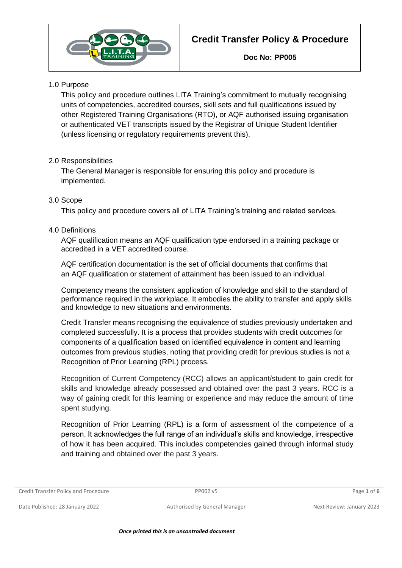

## 1.0 Purpose

This policy and procedure outlines LITA Training's commitment to mutually recognising units of competencies, accredited courses, skill sets and full qualifications issued by other Registered Training Organisations (RTO), or AQF authorised issuing organisation or authenticated VET transcripts issued by the Registrar of Unique Student Identifier (unless licensing or regulatory requirements prevent this).

## 2.0 Responsibilities

The General Manager is responsible for ensuring this policy and procedure is implemented.

## 3.0 Scope

This policy and procedure covers all of LITA Training's training and related services.

## 4.0 Definitions

AQF qualification means an AQF qualification type endorsed in a training package or accredited in a VET accredited course.

AQF certification documentation is the set of official documents that confirms that an AQF qualification or statement of attainment has been issued to an individual.

Competency means the consistent application of knowledge and skill to the standard of performance required in the workplace. It embodies the ability to transfer and apply skills and knowledge to new situations and environments.

Credit Transfer means recognising the equivalence of studies previously undertaken and completed successfully. It is a process that provides students with credit outcomes for components of a qualification based on identified equivalence in content and learning outcomes from previous studies, noting that providing credit for previous studies is not a Recognition of Prior Learning (RPL) process.

Recognition of Current Competency (RCC) allows an applicant/student to gain credit for skills and knowledge already possessed and obtained over the past 3 years. RCC is a way of gaining credit for this learning or experience and may reduce the amount of time spent studying.

Recognition of Prior Learning (RPL) is a form of assessment of the competence of a person. It acknowledges the full range of an individual's skills and knowledge, irrespective of how it has been acquired. This includes competencies gained through informal study and training and obtained over the past 3 years.

Credit Transfer Policy and Procedure PP002 v5 Page **1** of **6**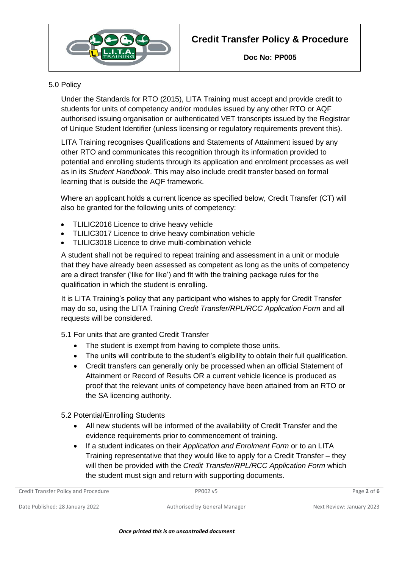

### 5.0 Policy

Under the Standards for RTO (2015), LITA Training must accept and provide credit to students for units of competency and/or modules issued by any other RTO or AQF authorised issuing organisation or authenticated VET transcripts issued by the Registrar of Unique Student Identifier (unless licensing or regulatory requirements prevent this).

LITA Training recognises Qualifications and Statements of Attainment issued by any other RTO and communicates this recognition through its information provided to potential and enrolling students through its application and enrolment processes as well as in its *Student Handbook*. This may also include credit transfer based on formal learning that is outside the AQF framework.

Where an applicant holds a current licence as specified below, Credit Transfer (CT) will also be granted for the following units of competency:

- TLILIC2016 Licence to drive heavy vehicle
- TLILIC3017 Licence to drive heavy combination vehicle
- TLILIC3018 Licence to drive multi-combination vehicle

A student shall not be required to repeat training and assessment in a unit or module that they have already been assessed as competent as long as the units of competency are a direct transfer ('like for like') and fit with the training package rules for the qualification in which the student is enrolling.

It is LITA Training's policy that any participant who wishes to apply for Credit Transfer may do so, using the LITA Training *Credit Transfer/RPL/RCC Application Form* and all requests will be considered.

- 5.1 For units that are granted Credit Transfer
	- The student is exempt from having to complete those units.
	- The units will contribute to the student's eligibility to obtain their full qualification.
	- Credit transfers can generally only be processed when an official Statement of Attainment or Record of Results OR a current vehicle licence is produced as proof that the relevant units of competency have been attained from an RTO or the SA licencing authority.
- 5.2 Potential/Enrolling Students
	- All new students will be informed of the availability of Credit Transfer and the evidence requirements prior to commencement of training.
	- If a student indicates on their *Application and Enrolment Form* or to an LITA Training representative that they would like to apply for a Credit Transfer – they will then be provided with the *Credit Transfer/RPL/RCC Application Form* which the student must sign and return with supporting documents.

Credit Transfer Policy and Procedure **PP002 v5** PP002 v5 Page 2 of 6

Date Published: 28 January 2022 **Authorised by General Manager** Next Review: January 2023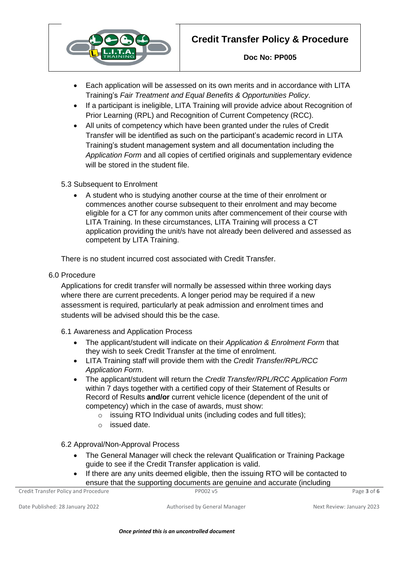

- Each application will be assessed on its own merits and in accordance with LITA Training's *Fair Treatment and Equal Benefits & Opportunities Policy*.
- If a participant is ineligible, LITA Training will provide advice about Recognition of Prior Learning (RPL) and Recognition of Current Competency (RCC).
- All units of competency which have been granted under the rules of Credit Transfer will be identified as such on the participant's academic record in LITA Training's student management system and all documentation including the *Application Form* and all copies of certified originals and supplementary evidence will be stored in the student file.
- 5.3 Subsequent to Enrolment
	- A student who is studying another course at the time of their enrolment or commences another course subsequent to their enrolment and may become eligible for a CT for any common units after commencement of their course with LITA Training. In these circumstances, LITA Training will process a CT application providing the unit/s have not already been delivered and assessed as competent by LITA Training.

There is no student incurred cost associated with Credit Transfer.

6.0 Procedure

Applications for credit transfer will normally be assessed within three working days where there are current precedents. A longer period may be required if a new assessment is required, particularly at peak admission and enrolment times and students will be advised should this be the case.

- 6.1 Awareness and Application Process
	- The applicant/student will indicate on their *Application & Enrolment Form* that they wish to seek Credit Transfer at the time of enrolment.
	- LITA Training staff will provide them with the *Credit Transfer/RPL/RCC Application Form*.
	- The applicant/student will return the *Credit Transfer/RPL/RCC Application Form* within 7 days together with a certified copy of their Statement of Results or Record of Results **and/or** current vehicle licence (dependent of the unit of competency) which in the case of awards, must show:
		- o issuing RTO Individual units (including codes and full titles);
		- o issued date.

6.2 Approval/Non-Approval Process

- The General Manager will check the relevant Qualification or Training Package guide to see if the Credit Transfer application is valid.
- If there are any units deemed eligible, then the issuing RTO will be contacted to ensure that the supporting documents are genuine and accurate (including

Credit Transfer Policy and Procedure **PP002 v5** Page **3** of **6** PP002 v5

Date Published: 28 January 2022 **Authorised by General Manager** Next Review: January 2023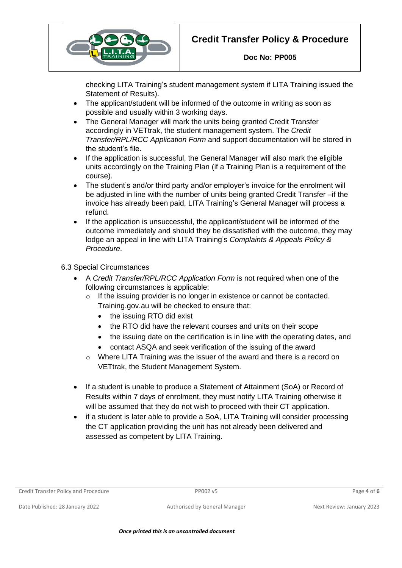# **Credit Transfer Policy & Procedure**



checking LITA Training's student management system if LITA Training issued the Statement of Results).

- The applicant/student will be informed of the outcome in writing as soon as possible and usually within 3 working days.
- The General Manager will mark the units being granted Credit Transfer accordingly in VETtrak, the student management system. The *Credit Transfer/RPL/RCC Application Form* and support documentation will be stored in the student's file.
- If the application is successful, the General Manager will also mark the eligible units accordingly on the Training Plan (if a Training Plan is a requirement of the course).
- The student's and/or third party and/or employer's invoice for the enrolment will be adjusted in line with the number of units being granted Credit Transfer –if the invoice has already been paid, LITA Training's General Manager will process a refund.
- If the application is unsuccessful, the applicant/student will be informed of the outcome immediately and should they be dissatisfied with the outcome, they may lodge an appeal in line with LITA Training's *Complaints & Appeals Policy & Procedure*.

## 6.3 Special Circumstances

- A *Credit Transfer/RPL/RCC Application Form* is not required when one of the following circumstances is applicable:
	- o If the issuing provider is no longer in existence or cannot be contacted. Training.gov.au will be checked to ensure that:
		- the issuing RTO did exist
		- the RTO did have the relevant courses and units on their scope
		- the issuing date on the certification is in line with the operating dates, and
		- contact ASQA and seek verification of the issuing of the award
	- o Where LITA Training was the issuer of the award and there is a record on VETtrak, the Student Management System.
- If a student is unable to produce a Statement of Attainment (SoA) or Record of Results within 7 days of enrolment, they must notify LITA Training otherwise it will be assumed that they do not wish to proceed with their CT application.
- if a student is later able to provide a SoA, LITA Training will consider processing the CT application providing the unit has not already been delivered and assessed as competent by LITA Training.

Credit Transfer Policy and Procedure PP002 v5 Page **4** of **6**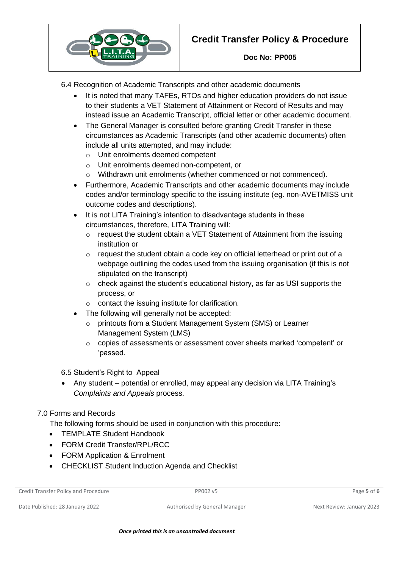

6.4 Recognition of Academic Transcripts and other academic documents

- It is noted that many TAFEs, RTOs and higher education providers do not issue to their students a VET Statement of Attainment or Record of Results and may instead issue an Academic Transcript, official letter or other academic document.
- The General Manager is consulted before granting Credit Transfer in these circumstances as Academic Transcripts (and other academic documents) often include all units attempted, and may include:
	- o Unit enrolments deemed competent
	- o Unit enrolments deemed non-competent, or
	- o Withdrawn unit enrolments (whether commenced or not commenced).
- Furthermore, Academic Transcripts and other academic documents may include codes and/or terminology specific to the issuing institute (eg. non-AVETMISS unit outcome codes and descriptions).
- It is not LITA Training's intention to disadvantage students in these circumstances, therefore, LITA Training will:
	- $\circ$  request the student obtain a VET Statement of Attainment from the issuing institution or
	- o request the student obtain a code key on official letterhead or print out of a webpage outlining the codes used from the issuing organisation (if this is not stipulated on the transcript)
	- o check against the student's educational history, as far as USI supports the process, or
	- $\circ$  contact the issuing institute for clarification.
- The following will generally not be accepted:
	- o printouts from a Student Management System (SMS) or Learner Management System (LMS)
	- o copies of assessments or assessment cover sheets marked 'competent' or 'passed.
- 6.5 Student's Right to Appeal
- Any student potential or enrolled, may appeal any decision via LITA Training's *Complaints and Appeals* process.

#### 7.0 Forms and Records

The following forms should be used in conjunction with this procedure:

- TEMPLATE Student Handbook
- FORM Credit Transfer/RPL/RCC
- FORM Application & Enrolment
- CHECKLIST Student Induction Agenda and Checklist

Date Published: 28 January 2022 **Authorised by General Manager** Next Review: January 2023

Credit Transfer Policy and Procedure PP002 v5 Page **5** of **6**